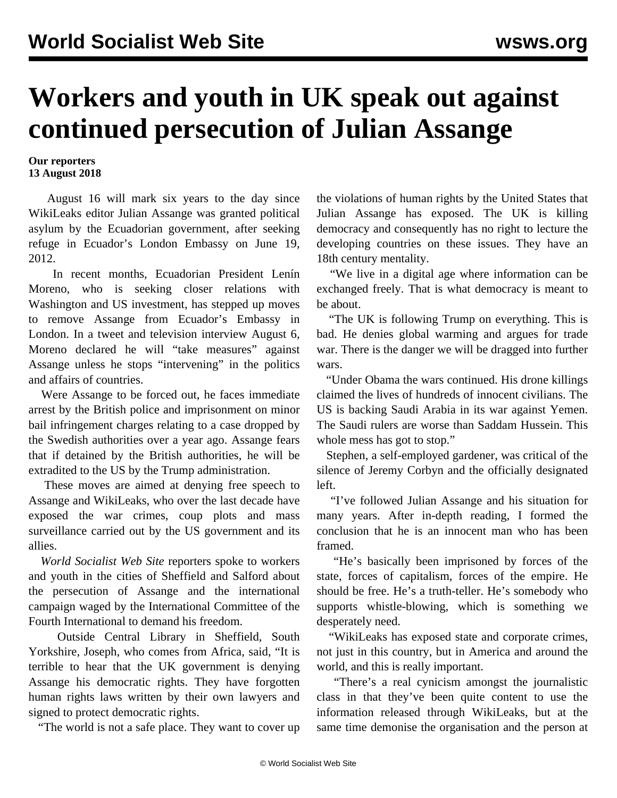## **Workers and youth in UK speak out against continued persecution of Julian Assange**

## **Our reporters 13 August 2018**

 August 16 will mark six years to the day since WikiLeaks editor Julian Assange was granted political asylum by the Ecuadorian government, after seeking refuge in Ecuador's London Embassy on June 19, 2012.

 In recent months, Ecuadorian President Lenín Moreno, who is seeking closer relations with Washington and US investment, has stepped up moves to remove Assange from Ecuador's Embassy in London. In a tweet and television interview August 6, Moreno declared he will "take measures" against Assange unless he stops "intervening" in the politics and affairs of countries.

 Were Assange to be forced out, he faces immediate arrest by the British police and imprisonment on minor bail infringement charges relating to a case dropped by the Swedish authorities over a year ago. Assange fears that if detained by the British authorities, he will be extradited to the US by the Trump administration.

 These moves are aimed at denying free speech to Assange and WikiLeaks, who over the last decade have exposed the war crimes, coup plots and mass surveillance carried out by the US government and its allies.

 *World Socialist Web Site* reporters spoke to workers and youth in the cities of Sheffield and Salford about the persecution of Assange and the international campaign waged by the International Committee of the Fourth International to demand his freedom.

 Outside Central Library in Sheffield, South Yorkshire, Joseph, who comes from Africa, said, "It is terrible to hear that the UK government is denying Assange his democratic rights. They have forgotten human rights laws written by their own lawyers and signed to protect democratic rights.

"The world is not a safe place. They want to cover up

the violations of human rights by the United States that Julian Assange has exposed. The UK is killing democracy and consequently has no right to lecture the developing countries on these issues. They have an 18th century mentality.

 "We live in a digital age where information can be exchanged freely. That is what democracy is meant to be about.

 "The UK is following Trump on everything. This is bad. He denies global warming and argues for trade war. There is the danger we will be dragged into further wars.

 "Under Obama the wars continued. His drone killings claimed the lives of hundreds of innocent civilians. The US is backing Saudi Arabia in its war against Yemen. The Saudi rulers are worse than Saddam Hussein. This whole mess has got to stop."

 Stephen, a self-employed gardener, was critical of the silence of Jeremy Corbyn and the officially designated left.

 "I've followed Julian Assange and his situation for many years. After in-depth reading, I formed the conclusion that he is an innocent man who has been framed.

 "He's basically been imprisoned by forces of the state, forces of capitalism, forces of the empire. He should be free. He's a truth-teller. He's somebody who supports whistle-blowing, which is something we desperately need.

 "WikiLeaks has exposed state and corporate crimes, not just in this country, but in America and around the world, and this is really important.

 "There's a real cynicism amongst the journalistic class in that they've been quite content to use the information released through WikiLeaks, but at the same time demonise the organisation and the person at